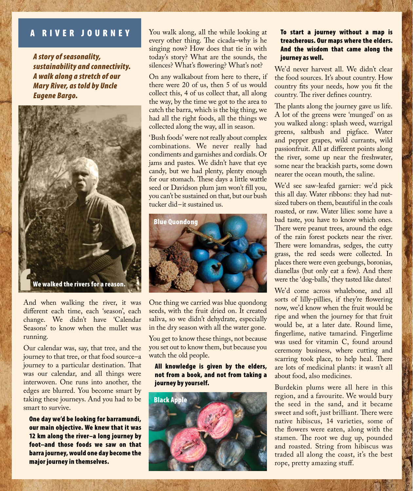#### **RIVER JOURNEY** A

*A story of seasonality, sustainability and connectivity. A walk along a stretch of our Mary River, as told by Uncle Eugene Bargo.*



And when walking the river, it was different each time, each 'season', each change. We didn't have 'Calendar Seasons' to know when the mullet was running.

Our calendar was, say, that tree, and the journey to that tree, or that food source–a journey to a particular destination. That was our calendar, and all things were interwoven. One runs into another, the edges are blurred. You become smart by taking these journeys. And you had to be smart to survive.

One day we'd be looking for barramundi, our main objective. We knew that it was 12 km along the river–a long journey by foot–and those foods we saw on that barra journey, would one day become the major journey in themselves.

You walk along, all the while looking at every other thing. The cicada–why is he singing now? How does that tie in with today's story? What are the sounds, the silences? What's flowering? What's not?

On any walkabout from here to there, if there were 20 of us, then 5 of us would collect this, 4 of us collect that, all along the way, by the time we got to the area to catch the barra, which is the big thing, we had all the right foods, all the things we collected along the way, all in season.

'Bush foods' were not really about complex combinations. We never really had condiments and garnishes and cordials. Or jams and pastes. We didn't have that eye candy, but we had plenty, plenty enough for our stomach. These days a little wattle seed or Davidson plum jam won't fill you, you can't be sustained on that, but our bush tucker did–it sustained us.



One thing we carried was blue quondong seeds, with the fruit dried on. It created saliva, so we didn't dehydrate, especially in the dry season with all the water gone.

You get to know these things, not because you set out to know them, but because you watch the old people.

All knowledge is given by the elders, not from a book, and not from taking a journey by yourself.



# To start a journey without a map is treacherous. Our maps where the elders. And the wisdom that came along the journey as well.

We'd never harvest all. We didn't clear the food sources. It's about country. How country fits your needs, how you fit the country. The river defines country.

The plants along the journey gave us life. A lot of the greens were 'munged' on as you walked along: splash weed, warrigal greens, saltbush and pigface. Water and pepper grapes, wild currants, wild passionfruit. All at different points along the river, some up near the freshwater, some near the brackish parts, some down nearer the ocean mouth, the saline.

We'd see saw-leafed garnier: we'd pick this all day. Water ribbons: they had nutsized tubers on them, beautiful in the coals roasted, or raw. Water lilies: some have a bad taste, you have to know which ones. There were peanut trees, around the edge of the rain forest pockets near the river. There were lomandras, sedges, the cutty grass, the red seeds were collected. In places there were even geebungs, boronias, dianellas (but only eat a few). And there were the 'dog-balls,' they tasted like dates!

We'd come across whalebone, and all sorts of lilly-pillies, if they're flowering now, we'd know when the fruit would be ripe and when the journey for that fruit would be, at a later date. Round lime, fingerlime, native tamarind. Fingerlime was used for vitamin C, found around ceremony business, where cutting and scarring took place, to help heal. There are lots of medicinal plants: it wasn't all about food, also medicines.

Burdekin plums were all here in this region, and a favourite. We would bury the seed in the sand, and it became sweet and soft, just brilliant. There were native hibiscus, 14 varieties, some of the flowers were eaten, along with the stamen. The root we dug up, pounded and roasted. String from hibiscus was traded all along the coast, it's the best rope, pretty amazing stuff.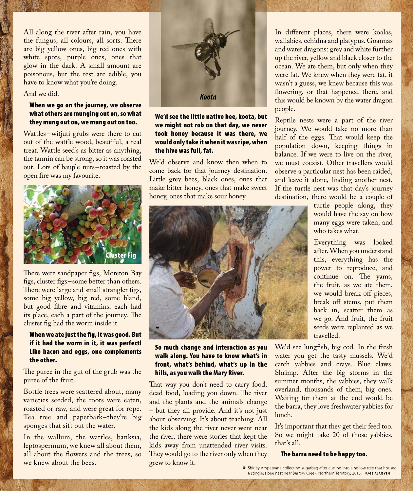All along the river after rain, you have the fungus, all colours, all sorts. There are big yellow ones, big red ones with white spots, purple ones, ones that glow in the dark. A small amount are poisonous, but the rest are edible, you have to know what you're doing.

#### And we did.

## When we go on the journey, we observe what others are munging out on, so what they mung out on, we mung out on too.

Wattles – witjuti grubs were there to cut out of the wattle wood, beautiful, a real treat. Wattle seed's as bitter as anything, the tannin can be strong, so it was roasted out. Lots of bauple nuts–roasted by the open fire was my favourite.



There were sandpaper figs, Moreton Bay figs, cluster figs–some better than others. There were large and small strangler figs, some big yellow, big red, some bland, but good fibre and vitamins, each had its place, each a part of the journey. The cluster fig had the worm inside it.

# When we ate just the fig, it was good. But if it had the worm in it, it was perfect! Like bacon and eggs, one complements the other.

The puree in the gut of the grub was the puree of the fruit.

Bottle trees were scattered about, many varieties seeded, the roots were eaten, roasted or raw, and were great for rope. Tea tree and paperbark–they're big sponges that sift out the water.

In the wallum, the wattles, banksia, leptospermum, we knew all about them, all about the flowers and the trees, so we knew about the bees.



We'd see the little native bee, koota, but we might not rob on that day, we never took honey because it was there, we would only take it when it was ripe, when the hive was full, fat.

We'd observe and know then when to come back for that journey destination. Little grey bees, black ones, ones that make bitter honey, ones that make sweet honey, ones that make sour honey.



So much change and interaction as you walk along. You have to know what's in front, what's behind, what's up in the hills, as you walk the Mary River.

That way you don't need to carry food, dead food, loading you down. The river and the plants and the animals change – but they all provide. And it's not just about observing. It's about teaching. All the kids along the river never went near the river, there were stories that kept the kids away from unattended river visits. They would go to the river only when they grew to know it.

In different places, there were koalas, wallabies, echidna and platypus. Goannas and water dragons: grey and white further up the river, yellow and black closer to the ocean. We ate them, but only when they were fat. We knew when they were fat, it wasn't a guess, we knew because this was flowering, or that happened there, and this would be known by the water dragon people.

Reptile nests were a part of the river journey. We would take no more than half of the eggs. That would keep the population down, keeping things in balance. If we were to live on the river, we must coexist. Other travellers would observe a particular nest has been raided, and leave it alone, finding another nest. If the turtle nest was that day's journey destination, there would be a couple of

> turtle people along, they would have the say on how many eggs were taken, and who takes what.

Everything was looked after. When you understand this, everything has the power to reproduce, and continue on. The yams, the fruit, as we ate them, we would break off pieces, break off stems, put them back in, scatter them as we go. And fruit, the fruit seeds were replanted as we travelled.

We'd see lungfish, big cod. In the fresh water you get the tasty mussels. We'd catch yabbies and crays. Blue claws. Shrimp. After the big storms in the summer months, the yabbies, they walk overland, thousands of them, big ones. Waiting for them at the end would be the barra, they love freshwater yabbies for lunch.

It's important that they get their feed too. So we might take 20 of those yabbies, that's all.

#### The barra need to be happy too.

\* Shirley Ampetyane collecting sugarbag after cutting into a hollow tree that housed a stingless bee nest near Barrow Creek, Northern Territory, 2015. IMAGE ALAN YEN